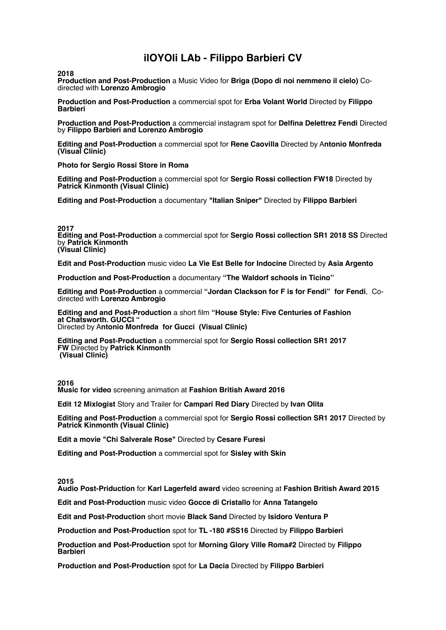# **ilOYOli LAb - Filippo Barbieri CV**

**2018**

**Production and Post-Production** a Music Video for **Briga (Dopo di noi nemmeno il cielo)** Codirected with **Lorenzo Ambrogio**

**Production and Post-Production** a commercial spot for **Erba Volant World** Directed by **Filippo Barbieri** 

**Production and Post-Production** a commercial instagram spot for **Delfina Delettrez Fendi** Directed by **Filippo Barbieri and Lorenzo Ambrogio**

**Editing and Post-Production** a commercial spot for **Rene Caovilla** Directed by A**ntonio Monfreda (Visual Clinic)** 

**Photo for Sergio Rossi Store in Roma**

**Editing and Post-Production** a commercial spot for **Sergio Rossi collection FW18** Directed by **Patrick Kinmonth (Visual Clinic)** 

**Editing and Post-Production** a documentary **"Italian Sniper"** Directed by **Filippo Barbieri**

**2017**

**Editing and Post-Production** a commercial spot for **Sergio Rossi collection SR1 2018 SS** Directed by **Patrick Kinmonth (Visual Clinic)**

**Edit and Post-Production** music video **La Vie Est Belle for Indocine** Directed by **Asia Argento**

**Production and Post-Production** a documentary **"The Waldorf schools in Ticino"** 

**Editing and Post-Production** a commercial **"Jordan Clackson for F is for Fendi" for Fendi**, Codirected with **Lorenzo Ambrogio**

**Editing and and Post-Production** a short film **"House Style: Five Centuries of Fashion at Chatsworth. GUCCI "**  Directed by A**ntonio Monfreda for Gucci (Visual Clinic)**

**Editing and Post-Production** a commercial spot for **Sergio Rossi collection SR1 2017 FW** Directed by **Patrick Kinmonth**

**(Visual Clinic)**

**2016 Music for video** screening animation at **Fashion British Award 2016**

**Edit 12 Mixlogist** Story and Trailer for **Campari Red Diary** Directed by **Ivan Olita**

**Editing and Post-Production** a commercial spot for **Sergio Rossi collection SR1 2017** Directed by **Patrick Kinmonth (Visual Clinic)**

**Edit a movie "Chi Salverale Rose"** Directed by **Cesare Furesi** 

**Editing and Post-Production** a commercial spot for **Sisley with Skin** 

**2015**

**Audio Post-Priduction** for **Karl Lagerfeld award** video screening at **Fashion British Award 2015**

**Edit and Post-Production** music video **Gocce di Cristallo** for **Anna Tatangelo**

**Edit and Post-Production** short movie **Black Sand** Directed by **Isidoro Ventura P**

**Production and Post-Production** spot for **TL -180 #SS16** Directed by **Filippo Barbieri**

**Production and Post-Production** spot for **Morning Glory Ville Roma#2** Directed by **Filippo Barbieri**

**Production and Post-Production** spot for **La Dacia** Directed by **Filippo Barbieri**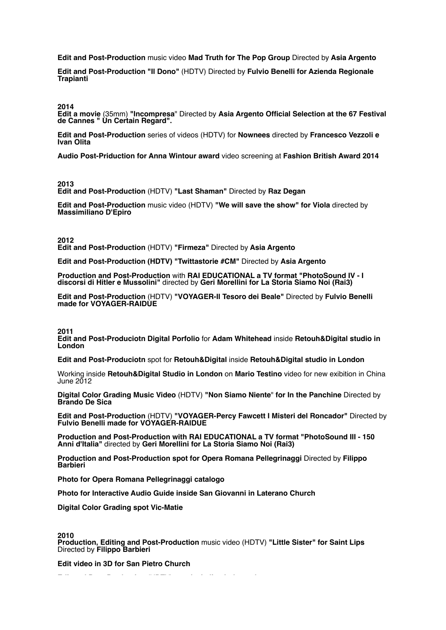**Edit and Post-Production** music video **Mad Truth for The Pop Group** Directed by **Asia Argento**

**Edit and Post-Production "Il Dono"** (HDTV) Directed by **Fulvio Benelli for Azienda Regionale Trapianti**

**2014**

**Edit a movie** (35mm) **"Incompresa**" Directed by **Asia Argento Official Selection at the 67 Festival de Cannes " Un Certain Regard".**

**Edit and Post-Production** series of videos (HDTV) for **Nownees** directed by **Francesco Vezzoli e Ivan Olita**

**Audio Post-Priduction for Anna Wintour award** video screening at **Fashion British Award 2014**

**2013**

**Edit and Post-Production** (HDTV) **"Last Shaman"** Directed by **Raz Degan** 

**Edit and Post-Production** music video (HDTV) **"We will save the show" for Viola** directed by **Massimiliano D'Epiro**

**2012 Edit and Post-Production** (HDTV) **"Firmeza"** Directed by **Asia Argento**

**Edit and Post-Production (HDTV) "Twittastorie #CM"** Directed by **Asia Argento**

**Production and Post-Production** with **RAI EDUCATIONAL a TV format "PhotoSound IV - I discorsi di Hitler e Mussolini"** directed by **Geri Morellini for La Storia Siamo Noi (Rai3)**

**Edit and Post-Production** (HDTV) **"VOYAGER-Il Tesoro dei Beale"** Directed by **Fulvio Benelli made for VOYAGER-RAIDUE** 

**2011**

**Edit and Post-Produciotn Digital Porfolio** for **Adam Whitehead** inside **Retouh&Digital studio in London**

**Edit and Post-Produciotn** spot for **Retouh&Digital** inside **Retouh&Digital studio in London**

Working inside **Retouh&Digital Studio in London** on **Mario Testino** video for new exibition in China June 2012

**Digital Color Grading Music Video** (HDTV) **"Non Siamo Niente**" **for In the Panchine** Directed by **Brando De Sica**

**Edit and Post-Production** (HDTV) **"VOYAGER-Percy Fawcett I Misteri del Roncador"** Directed by **Fulvio Benelli made for VOYAGER-RAIDUE**

**Production and Post-Production with RAI EDUCATIONAL a TV format "PhotoSound III - 150 Anni d'Italia"** directed by **Geri Morellini for La Storia Siamo Noi (Rai3)**

**Production and Post-Production spot for Opera Romana Pellegrinaggi** Directed by **Filippo Barbieri**

**Photo for Opera Romana Pellegrinaggi catalogo**

**Photo for Interactive Audio Guide inside San Giovanni in Laterano Church**

**Digital Color Grading spot Vic-Matie** 

# **2010**

**Production, Editing and Post-Production** music video (HDTV) **"Little Sister" for Saint Lips** Directed by **Filippo Barbieri**

**Edit video in 3D for San Pietro Church**

**Edit and Post-Production** (HDTV) spot for **Italian Independent**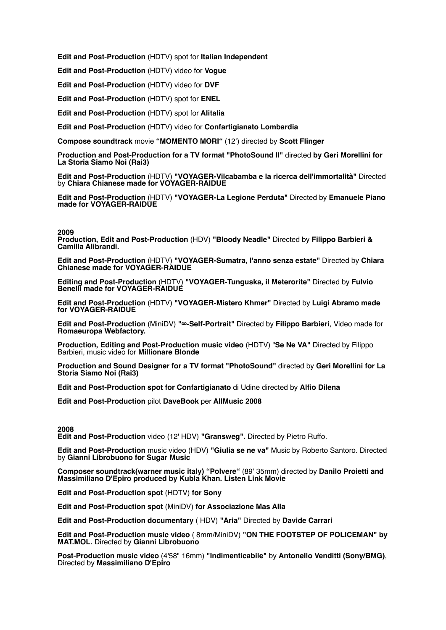**Edit and Post-Production** (HDTV) spot for **Italian Independent**

**Edit and Post-Production** (HDTV) video for **Vogue** 

**Edit and Post-Production** (HDTV) video for **DVF**

**Edit and Post-Production** (HDTV) spot for **ENEL**

**Edit and Post-Production** (HDTV) spot for **Alitalia**

**Edit and Post-Production** (HDTV) video for **Confartigianato Lombardia**

**Compose soundtrack** movie **"MOMENTO MORI"** (12') directed by **Scott Flinger**

P**roduction and Post-Production for a TV format "PhotoSound II"** directed **by Geri Morellini for La Storia Siamo Noi (Rai3)**

**Edit and Post-Production** (HDTV) **"VOYAGER-Vilcabamba e la ricerca dell'immortalità"** Directed by **Chiara Chianese made for VOYAGER-RAIDUE**

**Edit and Post-Production** (HDTV) **"VOYAGER-La Legione Perduta"** Directed by **Emanuele Piano made for VOYAGER-RAIDUE**

## **2009**

**Production, Edit and Post-Production** (HDV) **"Bloody Neadle"** Directed by **Filippo Barbieri & Camilla Alibrandi.** 

**Edit and Post-Production** (HDTV) **"VOYAGER-Sumatra, l'anno senza estate"** Directed by **Chiara Chianese made for VOYAGER-RAIDUE**

**Editing and Post-Production** (HDTV) **"VOYAGER-Tunguska, il Meterorite"** Directed by **Fulvio Benelli made for VOYAGER-RAIDUE**

**Edit and Post-Production** (HDTV) **"VOYAGER-Mistero Khmer"** Directed by **Luigi Abramo made for VOYAGER-RAIDUE**

**Edit and Post-Production** (MiniDV) **"∞-Self-Portrait"** Directed by **Filippo Barbieri**, Video made for **Romaeuropa Webfactory.** 

**Production, Editing and Post-Production music video** (HDTV) "**Se Ne VA"** Directed by Filippo Barbieri, music video for **Millionare Blonde**

**Production and Sound Designer for a TV format "PhotoSound"** directed by **Geri Morellini for La Storia Siamo Noi (Rai3)**

**Edit and Post-Production spot for Confartigianato** di Udine directed by **Alfio Dilena** 

**Edit and Post-Production** pilot **DaveBook** per **AllMusic 2008**

# **2008**

**Edit and Post-Production** video (12' HDV) **"Gransweg".** Directed by Pietro Ruffo.

**Edit and Post-Production** music video (HDV) **"Giulia se ne va"** Music by Roberto Santoro. Directed by **Gianni Librobuono for Sugar Music** 

**Composer soundtrack(warner music italy) "Polvere"** (89' 35mm) directed by **Danilo Proietti and Massimiliano D'Epiro produced by Kubla Khan. Listen Link Movie**

**Edit and Post-Production spot** (HDTV) **for Sony** 

**Edit and Post-Production spot** (MiniDV) **for Associazione Mas Alla**

**Edit and Post-Production documentary** ( HDV) **"Aria"** Directed by **Davide Carrari**

**Edit and Post-Production music video** ( 8mm/MiniDV) **"ON THE FOOTSTEP OF POLICEMAN" by MAT.MOL.** Directed by **Gianni Librobuono** 

**Post-Production music video** (4'58" 16mm) **"Indimenticabile"** by **Antonello Venditti (Sony/BMG)**, Directed by **Massimiliano D'Epiro**

**Animation "Portrait of Queen" "Sunflower #V" "Untitled #B".** Directed by **Filippo Barbieri**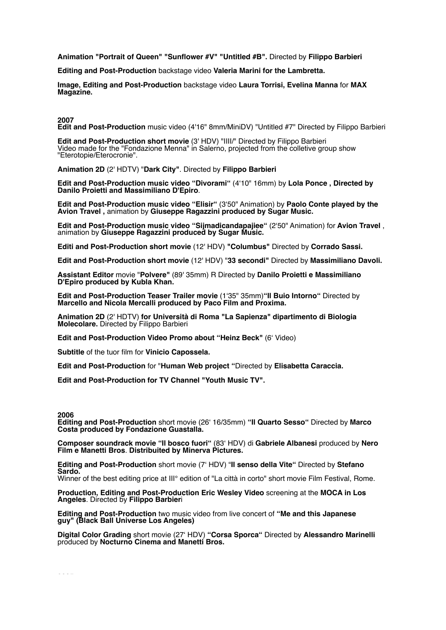**Animation "Portrait of Queen" "Sunflower #V" "Untitled #B".** Directed by **Filippo Barbieri**

**Editing and Post-Production** backstage video **Valeria Marini for the Lambretta.** 

**Image, Editing and Post-Production** backstage video **Laura Torrisi, Evelina Manna** for **MAX Magazine.** 

**2007**

**Edit and Post-Production** music video (4'16" 8mm/MiniDV) "Untitled #7" Directed by Filippo Barbieri

**Edit and Post-Production short movie** (3' HDV) "IIII/" Directed by Filippo Barbieri Video made for the "Fondazione Menna" in Salerno, projected from the colletive group show "Eterotopie/Eterocronie".

**Animation 2D** (2' HDTV) "**Dark City"**. Directed by **Filippo Barbieri** 

**Edit and Post-Production music video "Divorami"** (4'10" 16mm) by **Lola Ponce , Directed by Danilo Proietti and Massimiliano D'Epiro**.

**Edit and Post-Production music video "Elisir"** (3'50" Animation) by **Paolo Conte played by the Avion Travel ,** animation by **Giuseppe Ragazzini produced by Sugar Music.** 

**Edit and Post-Production music video "Sijmadicandapajiee"** (2'50" Animation) for **Avion Travel** , animation by **Giuseppe Ragazzini produced by Sugar Music.** 

**Editi and Post-Production short movie** (12' HDV) **"Columbus"** Directed by **Corrado Sassi.**

**Edit and Post-Production short movie** (12' HDV) "**33 secondi"** Directed by **Massimiliano Davoli.**

**Assistant Editor** movie "**Polvere"** (89' 35mm) R Directed by **Danilo Proietti e Massimiliano D'Epiro produced by Kubla Khan.**

**Edit and Post-Production Teaser Trailer movie** (1'35" 35mm)**"Il Buio Intorno"** Directed by **Marcello and Nicola Mercalli produced by Paco Film and Proxima.**

**Animation 2D** (2' HDTV) **for Università di Roma "La Sapienza" dipartimento di Biologia Molecolare.** Directed by Filippo Barbieri

**Edit and Post-Production Video Promo about "Heinz Beck"** (6' Video)

**Subtitle** of the tuor film for **Vinicio Capossela.**

**Edit and Post-Production** for "**Human Web project "**Directed by **Elisabetta Caraccia.**

**Edit and Post-Production for TV Channel "Youth Music TV".**

#### **2006**

**Editing and Post-Production** short movie (26' 16/35mm) **"Il Quarto Sesso"** Directed by **Marco Costa produced by Fondazione Guastalla.** 

**Composer soundrack movie "Il bosco fuori"** (83' HDV) di **Gabriele Albanesi** produced by **Nero Film e Manetti Bros**. **Distribuited by Minerva Pictures.** 

**Editing and Post-Production** short movie (7' HDV) "**Il senso della Vite"** Directed by **Stefano Sardo.** 

Winner of the best editing price at III° edition of "La città in corto" short movie Film Festival, Rome.

**Production, Editing and Post-Production Eric Wesley Video** screening at the **MOCA in Los Angeles**. Directed by **Filippo Barbier**i

**Editing and Post-Production** two music video from live concert of **"Me and this Japanese guy" (Black Ball Universe Los Angeles)** 

**Digital Color Grading** short movie (27' HDV) **"Corsa Sporca"** Directed by **Alessandro Marinelli**  produced by **Nocturno Cinema and Manetti Bros.**